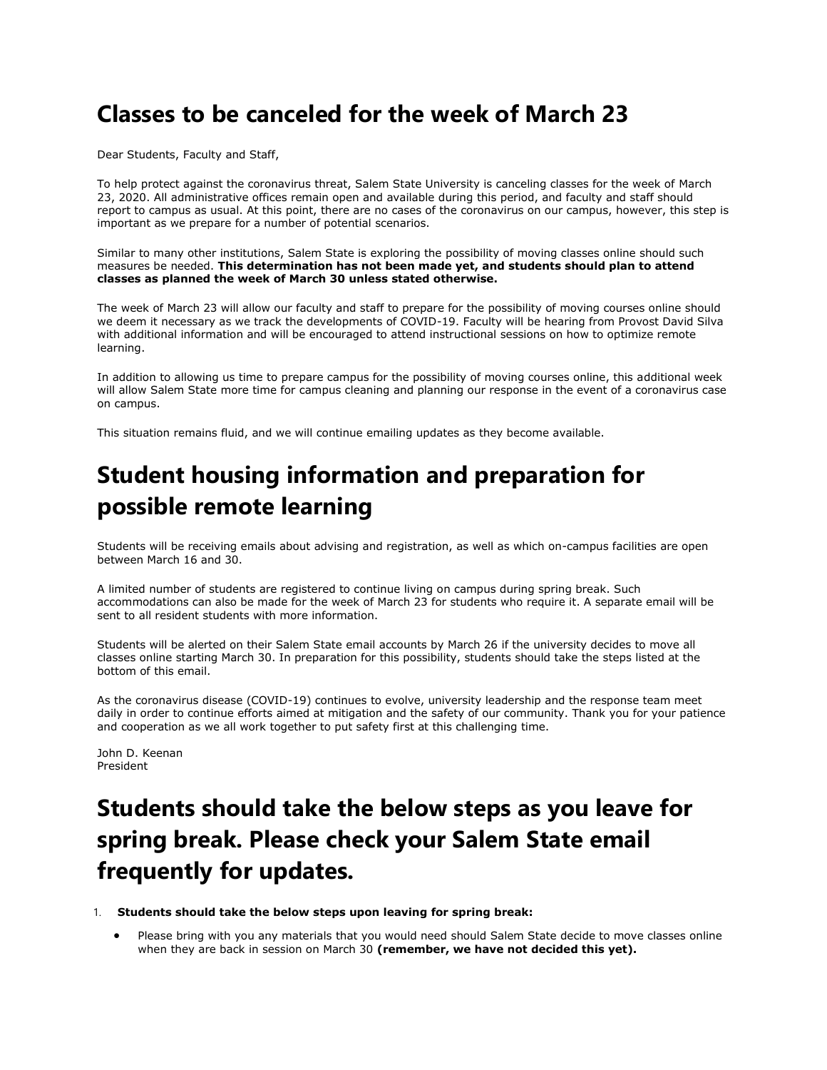## **Classes to be canceled for the week of March 23**

Dear Students, Faculty and Staff,

To help protect against the coronavirus threat, Salem State University is canceling classes for the week of March 23, 2020. All administrative offices remain open and available during this period, and faculty and staff should report to campus as usual. At this point, there are no cases of the coronavirus on our campus, however, this step is important as we prepare for a number of potential scenarios.

Similar to many other institutions, Salem State is exploring the possibility of moving classes online should such measures be needed. **This determination has not been made yet, and students should plan to attend classes as planned the week of March 30 unless stated otherwise.**

The week of March 23 will allow our faculty and staff to prepare for the possibility of moving courses online should we deem it necessary as we track the developments of COVID-19. Faculty will be hearing from Provost David Silva with additional information and will be encouraged to attend instructional sessions on how to optimize remote learning.

In addition to allowing us time to prepare campus for the possibility of moving courses online, this additional week will allow Salem State more time for campus cleaning and planning our response in the event of a coronavirus case on campus.

This situation remains fluid, and we will continue emailing updates as they become available.

## **Student housing information and preparation for possible remote learning**

Students will be receiving emails about advising and registration, as well as which on-campus facilities are open between March 16 and 30.

A limited number of students are registered to continue living on campus during spring break. Such accommodations can also be made for the week of March 23 for students who require it. A separate email will be sent to all resident students with more information.

Students will be alerted on their Salem State email accounts by March 26 if the university decides to move all classes online starting March 30. In preparation for this possibility, students should take the steps listed at the bottom of this email.

As the coronavirus disease (COVID-19) continues to evolve, university leadership and the response team meet daily in order to continue efforts aimed at mitigation and the safety of our community. Thank you for your patience and cooperation as we all work together to put safety first at this challenging time.

John D. Keenan President

# **Students should take the below steps as you leave for spring break. Please check your Salem State email frequently for updates.**

1. **Students should take the below steps upon leaving for spring break:**

 Please bring with you any materials that you would need should Salem State decide to move classes online when they are back in session on March 30 **(remember, we have not decided this yet).**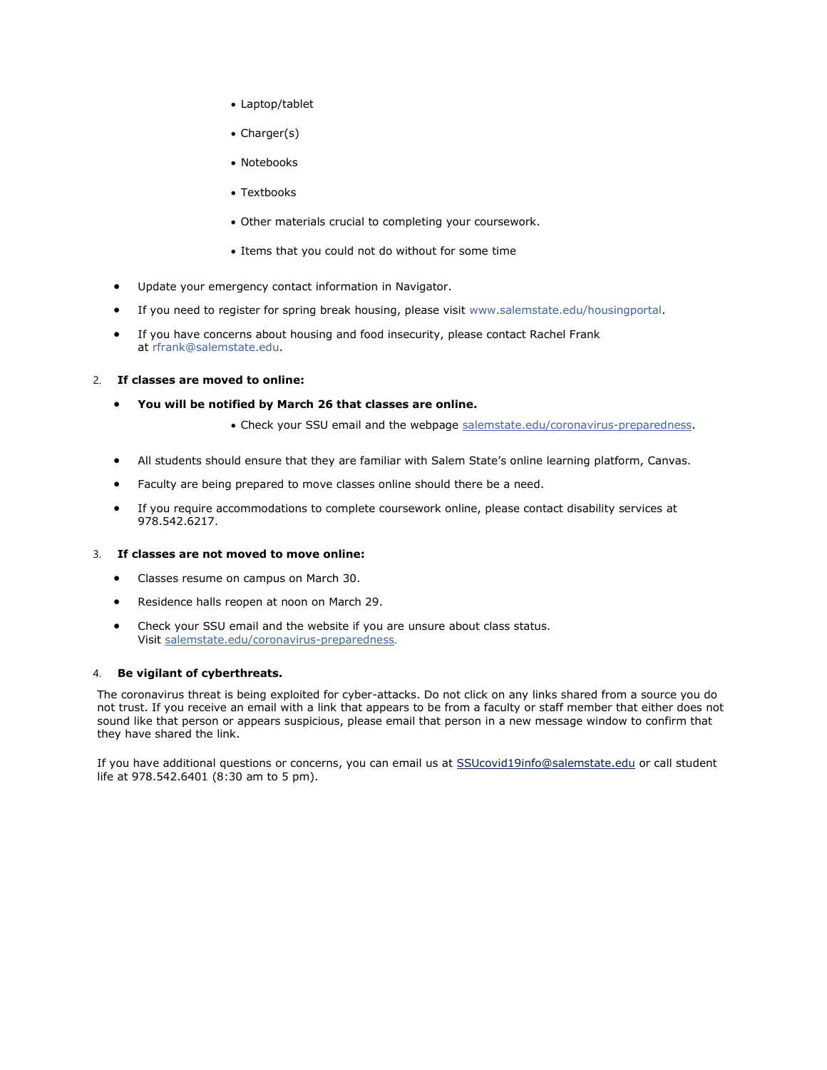- Laptop/tablet
- Charger(s)
- Notebooks
- Textbooks
- Other materials crucial to completing your coursework.
- Items that you could not do without for some time
- Update your emergency contact information in Navigator.
- If you need to register for spring break housing, please visit [www.salemstate.edu/housingportal.](https://nam01.safelinks.protection.outlook.com/?url=http%3A%2F%2Fwww.salemstate.edu%2Fhousingportal&data=02%7C01%7Cjgubbins%40salemstate.edu%7Ca954ddf8b6264caea28008d7c5f46b28%7C70d32b73b45749d1950c4f78aeffc21b%7C0%7C0%7C637195525922767289&sdata=0TS%2B6fYstBDT5RvZX7DBn7pET1DzbLnVTrdDIoxyQjw%3D&reserved=0)
- If you have concerns about housing and food insecurity, please contact Rachel Frank at [rfrank@salemstate.edu.](mailto:rfrank@salemstate.edu)

### 2. **If classes are moved to online:**

- **You will be notified by March 26 that classes are online.**
	- Check your SSU email and the webpage [salemstate.edu/coronavirus-preparedness.](https://www.salemstate.edu/coronavirus-preparedness)
- All students should ensure that they are familiar with Salem State's online learning platform, Canvas.
- Faculty are being prepared to move classes online should there be a need.
- If you require accommodations to complete coursework online, please contact disability services at 978.542.6217.

## 3. **If classes are not moved to move online:**

- Classes resume on campus on March 30.
- Residence halls reopen at noon on March 29.
- Check your SSU email and the website if you are unsure about class status. Visit [salemstate.edu/coronavirus-preparedness](https://www.salemstate.edu/coronavirus-preparedness).

#### 4. **Be vigilant of cyberthreats.**

The coronavirus threat is being exploited for cyber-attacks. Do not click on any links shared from a source you do not trust. If you receive an email with a link that appears to be from a faculty or staff member that either does not sound like that person or appears suspicious, please email that person in a new message window to confirm that they have shared the link.

If you have additional questions or concerns, you can email us at [SSUcovid19info@salemstate.edu](mailto:SSUcovid19info@salemstate.edu) or call student life at 978.542.6401 (8:30 am to 5 pm).